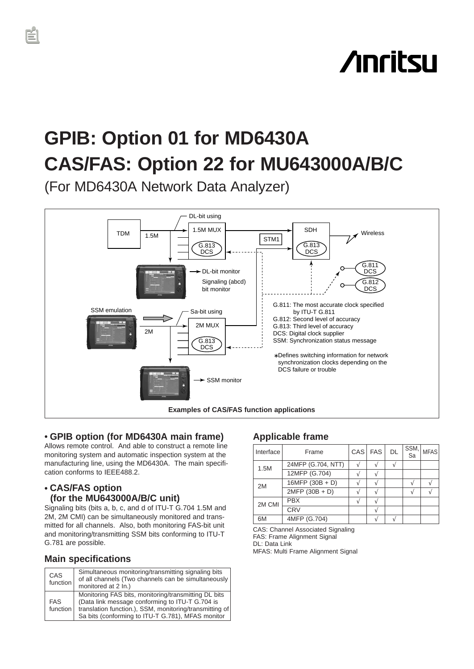# **Anritsu**

## **GPIB: Option 01 for MD6430A CAS/FAS: Option 22 for MU643000A/B/C**

(For MD6430A Network Data Analyzer)



## • **GPIB option (for MD6430A main frame)**

Allows remote control. And able to construct a remote line monitoring system and automatic inspection system at the manufacturing line, using the MD6430A. The main specification conforms to IEEE488.2.

## • **CAS/FAS option (for the MU643000A/B/C unit)**

Signaling bits (bits a, b, c, and d of ITU-T G.704 1.5M and 2M, 2M CMI) can be simultaneously monitored and transmitted for all channels. Also, both monitoring FAS-bit unit and monitoring/transmitting SSM bits conforming to ITU-T G.781 are possible.

## **Main specifications**

| <b>CAS</b><br>function | Simultaneous monitoring/transmitting signaling bits<br>of all channels (Two channels can be simultaneously<br>monitored at 2 In.)                                                                                       |
|------------------------|-------------------------------------------------------------------------------------------------------------------------------------------------------------------------------------------------------------------------|
| <b>FAS</b><br>function | Monitoring FAS bits, monitoring/transmitting DL bits<br>(Data link message conforming to ITU-T G.704 is<br>translation function.), SSM, monitoring/transmitting of<br>Sa bits (conforming to ITU-T G.781), MFAS monitor |

## **Applicable frame**

| Interface | Frame              | CAS FAS | <b>DL</b> | SSM,<br>Sa | <b>MFAS</b> |
|-----------|--------------------|---------|-----------|------------|-------------|
| 1.5M      | 24MFP (G.704, NTT) |         |           |            |             |
|           | 12MFP (G.704)      |         |           |            |             |
| 2M        | $16MFP(30B + D)$   |         |           |            |             |
|           | $2MFP(30B + D)$    |         |           |            |             |
| 2M CMI    | <b>PBX</b>         |         |           |            |             |
|           | <b>CRV</b>         |         |           |            |             |
| 6M        | 4MFP (G.704)       |         |           |            |             |

CAS: Channel Associated Signaling FAS: Frame Alignment Signal DL: Data Link MFAS: Multi Frame Alignment Signal